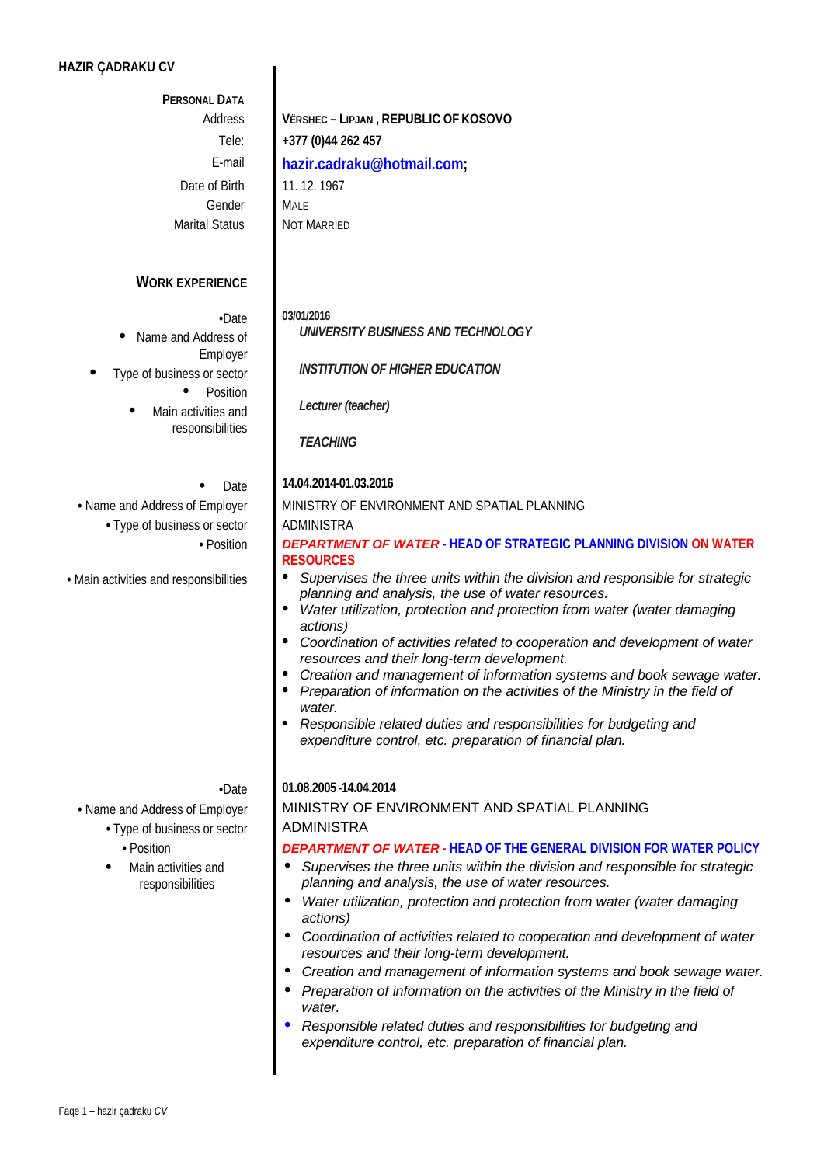## **HAZIR ÇADRAKU CV**

## **PERSONAL DATA**

Address Tele: Date of Birth Gender Marital Status

**WORK EXPERIENCE**

- **•**Date Name and Address of
	- Employer
- Type of business or sector
	- Position
	- Main activities and responsibilities

## **Date**

• Type of business or sector **ADMINISTRA** 

**•** Main activities and responsibilities

## **VËRSHEC – LIPJAN , REPUBLIC OF KOSOVO +377 (0)44 262 457** E-mail **[hazir.cadraku@hotmail.com;](mailto:hazir.cadraku@hotmail.com)**  11. 12. 1967 MALE NOT MARRIED

| 03/01/2016 |
|------------|
|------------|

*UNIVERSITY BUSINESS AND TECHNOLOGY*

*INSTITUTION OF HIGHER EDUCATION*

*Lecturer (teacher)*

*TEACHING*

## **14.04.2014-01.03.2016**

• Name and Address of Employer MINISTRY OF ENVIRONMENT AND SPATIAL PLANNING

## **•** Position *DEPARTMENT OF WATER* **- HEAD OF STRATEGIC PLANNING DIVISION ON WATER RESOURCES**

- *Supervises the three units within the division and responsible for strategic planning and analysis, the use of water resources.*
- *Water utilization, protection and protection from water (water damaging actions)*
- *Coordination of activities related to cooperation and development of water resources and their long-term development.*
- *Creation and management of information systems and book sewage water.*
- *Preparation of information on the activities of the Ministry in the field of water.*
- *Responsible related duties and responsibilities for budgeting and expenditure control, etc. preparation of financial plan.*

- Type of business or sector **ADMINISTRA •** Position
	-
- Main activities and responsibilities

## **•**Date **01.08.2005 -14.04.2014**

# • Name and Address of Employer | MINISTRY OF ENVIRONMENT AND SPATIAL PLANNING

## *DEPARTMENT OF WATER* **- HEAD OF THE GENERAL DIVISION FOR WATER POLICY**

- *Supervises the three units within the division and responsible for strategic planning and analysis, the use of water resources.*
- *Water utilization, protection and protection from water (water damaging actions)*
- *Coordination of activities related to cooperation and development of water resources and their long-term development.*
- *Creation and management of information systems and book sewage water.*
- *Preparation of information on the activities of the Ministry in the field of water.*
- *Responsible related duties and responsibilities for budgeting and expenditure control, etc. preparation of financial plan.*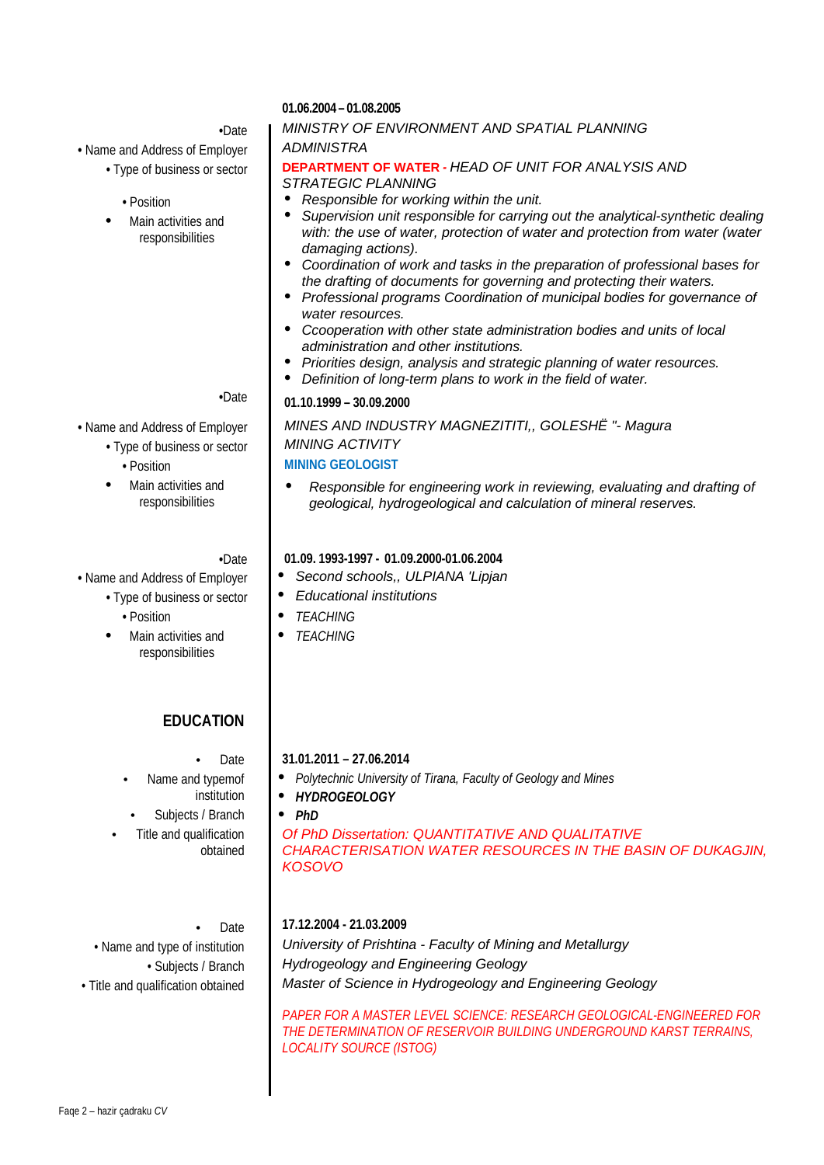## **•** Name and Address of Employer *ADMINISTRA*

- $\cdot$  Type of business or sector
	- Position
- Main activities and responsibilities

- Type of business or sector *MINING ACTIVITY*
	- Position
- Main activities and responsibilities

- - - Position
		- Main activities and responsibilities

## **EDUCATION**

Date

- Name and typemof institution
	- Subjects / Branch
- Title and qualification obtained

Date

## **01.06.2004 – 01.08.2005**

## **•**Date *MINISTRY OF ENVIRONMENT AND SPATIAL PLANNING*

### **DEPARTMENT OF WATER - HEAD OF UNIT FOR ANALYSIS AND** *STRATEGIC PLANNING*

- *Responsible for working within the unit.*
- *Supervision unit responsible for carrying out the analytical-synthetic dealing*  with: the use of water, protection of water and protection from water (water *damaging actions).*
- *Coordination of work and tasks in the preparation of professional bases for the drafting of documents for governing and protecting their waters.*
- *Professional programs Coordination of municipal bodies for governance of water resources.*
- *Ccooperation with other state administration bodies and units of local administration and other institutions.*
- *Priorities design, analysis and strategic planning of water resources.*
- *Definition of long-term plans to work in the field of water.*

## **•**Date **01.10.1999 – 30.09.2000**

**•** Name and Address of Employer *MINES AND INDUSTRY MAGNEZITITI,, GOLESHË "- Magura* **MINING GEOLOGIST**

> *Responsible for engineering work in reviewing, evaluating and drafting of geological, hydrogeological and calculation of mineral reserves.*

**•**Date **01.09. 1993-1997 - 01.09.2000-01.06.2004**

- Name and Address of Employer  $\parallel \bullet \right.$  Second schools,, ULPIANA 'Lipjan'
	- Type of business or sector **e** *e* Educational institutions
		- *TEACHING*
		- *TEACHING*

## **31.01.2011 – 27.06.2014**

- *Polytechnic University of Tirana, Faculty of Geology and Mines*
- *HYDROGEOLOGY*
- *PhD*

*Of PhD Dissertation: QUANTITATIVE AND QUALITATIVE CHARACTERISATION WATER RESOURCES IN THE BASIN OF DUKAGJIN, KOSOVO*

## **17.12.2004 - 21.03.2009**

• Name and type of institution *University of Prishtina - Faculty of Mining and Metallurgy* • Subjects / Branch *Hydrogeology and Engineering Geology* • Title and qualification obtained *Master of Science in Hydrogeology and Engineering Geology*

> *PAPER FOR A MASTER LEVEL SCIENCE: RESEARCH GEOLOGICAL-ENGINEERED FOR THE DETERMINATION OF RESERVOIR BUILDING UNDERGROUND KARST TERRAINS, LOCALITY SOURCE (ISTOG)*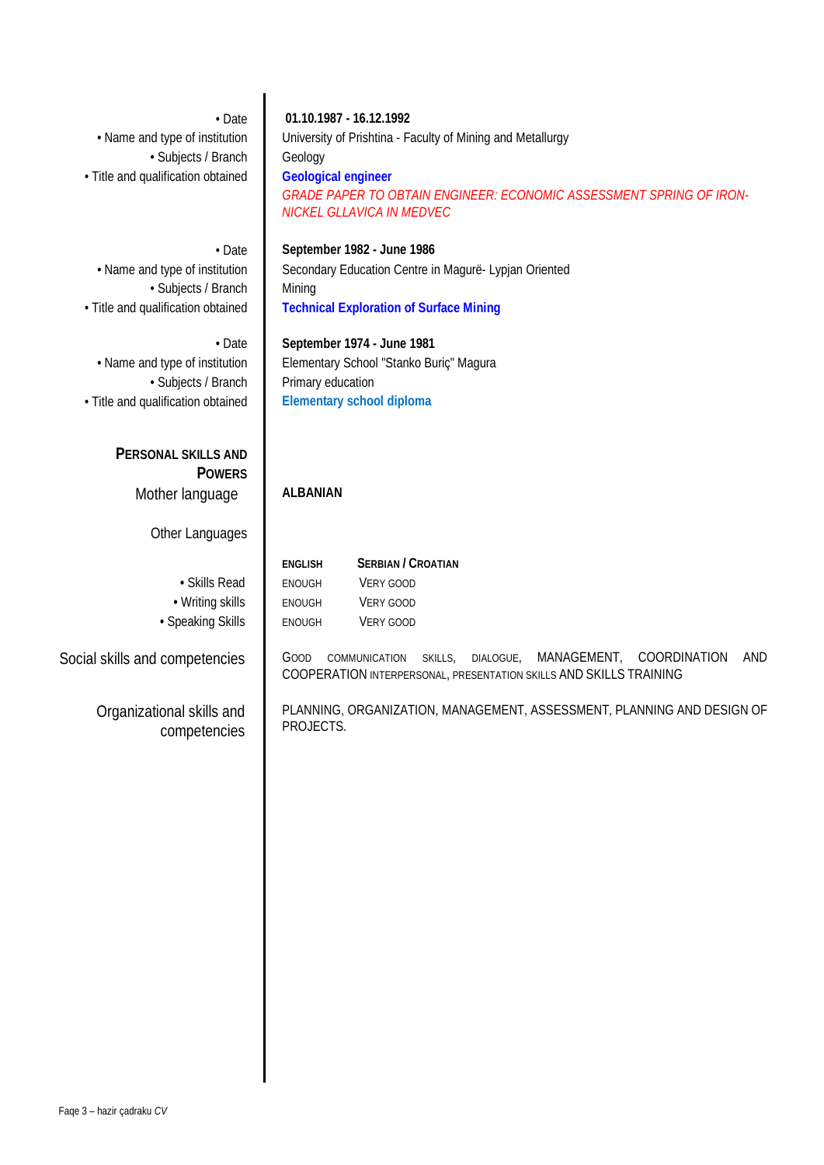| • Date<br>• Name and type of institution<br>· Subjects / Branch<br>· Title and qualification obtained | 01.10.1987 - 16.12.1992<br>University of Prishtina - Faculty of Mining and Metallurgy<br>Geology<br><b>Geological engineer</b><br>GRADE PAPER TO OBTAIN ENGINEER: ECONOMIC ASSESSMENT SPRING OF IRON-<br>NICKEL GLLAVICA IN MEDVEC |
|-------------------------------------------------------------------------------------------------------|------------------------------------------------------------------------------------------------------------------------------------------------------------------------------------------------------------------------------------|
| • Date<br>• Name and type of institution<br>· Subjects / Branch<br>· Title and qualification obtained | September 1982 - June 1986<br>Secondary Education Centre in Magurë- Lypjan Oriented<br>Mining<br><b>Technical Exploration of Surface Mining</b>                                                                                    |
| • Date<br>• Name and type of institution<br>· Subjects / Branch<br>· Title and qualification obtained | September 1974 - June 1981<br>Elementary School "Stanko Buriç" Magura<br>Primary education<br><b>Elementary school diploma</b>                                                                                                     |
| PERSONAL SKILLS AND<br><b>POWERS</b><br>Mother language                                               | <b>ALBANIAN</b>                                                                                                                                                                                                                    |
| Other Languages<br>· Skills Read<br>• Writing skills<br>• Speaking Skills                             | <b>SERBIAN / CROATIAN</b><br><b>ENGLISH</b><br>VERY GOOD<br><b>ENOUGH</b><br>VERY GOOD<br>ENOUGH<br>VERY GOOD<br><b>ENOUGH</b>                                                                                                     |
| Social skills and competencies                                                                        | COORDINATION<br>MANAGEMENT,<br>AND<br>GOOD<br>COMMUNICATION<br>DIALOGUE,<br>SKILLS,<br>COOPERATION INTERPERSONAL, PRESENTATION SKILLS AND SKILLS TRAINING                                                                          |
| Organizational skills and<br>competencies                                                             | PLANNING, ORGANIZATION, MANAGEMENT, ASSESSMENT, PLANNING AND DESIGN OF<br>PROJECTS.                                                                                                                                                |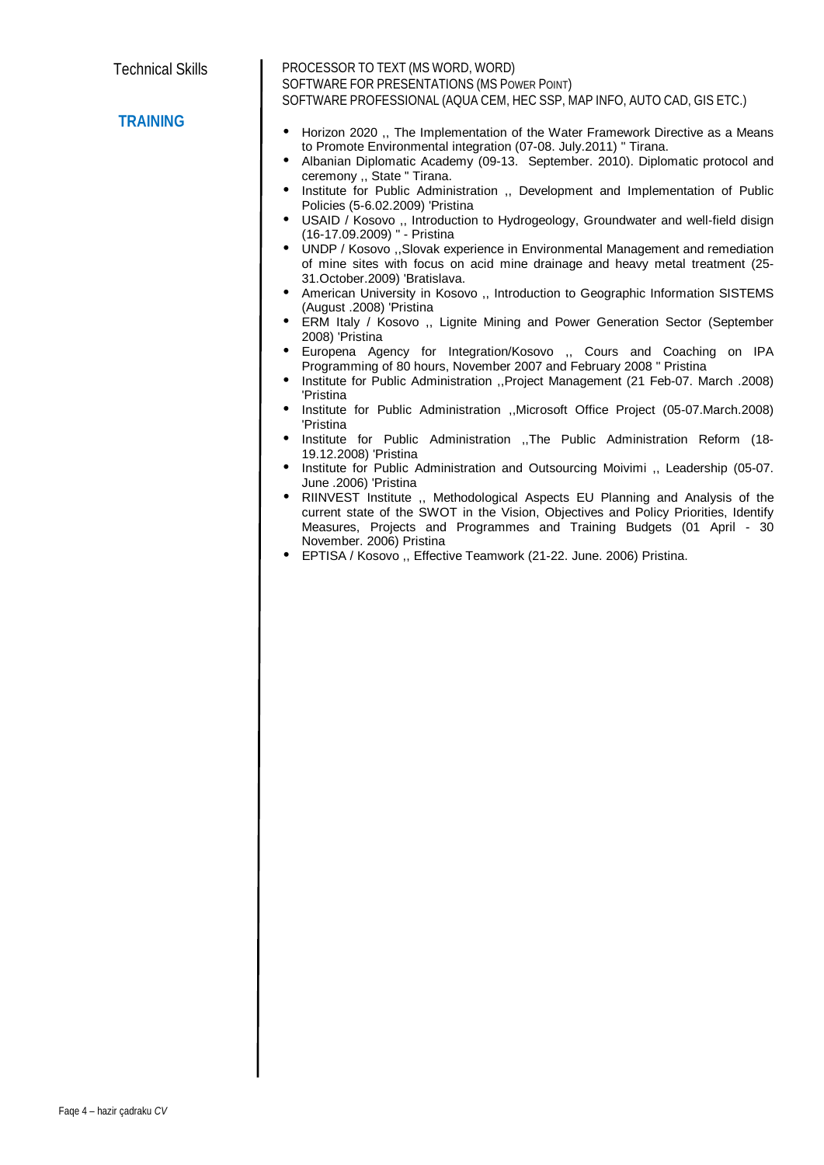PROCESSOR TO TEXT (MS WORD, WORD) SOFTWARE FOR PRESENTATIONS (MS POWER POINT) SOFTWARE PROFESSIONAL (AQUA CEM, HEC SSP, MAP INFO, AUTO CAD, GIS ETC.)

## **TRAINING**

- Horizon 2020 ,, The Implementation of the Water Framework Directive as a Means to Promote Environmental integration (07-08. July.2011) '' Tirana.
- Albanian Diplomatic Academy (09-13. September. 2010). Diplomatic protocol and ceremony ,, State '' Tirana.
- Institute for Public Administration ,, Development and Implementation of Public Policies (5-6.02.2009) 'Pristina
- USAID / Kosovo ,, Introduction to Hydrogeology, Groundwater and well-field disign (16-17.09.2009) '' - Pristina
- UNDP / Kosovo ,,Slovak experience in Environmental Management and remediation of mine sites with focus on acid mine drainage and heavy metal treatment (25- 31.October.2009) 'Bratislava.
- American University in Kosovo ,, Introduction to Geographic Information SISTEMS (August .2008) 'Pristina
- ERM Italy / Kosovo ,, Lignite Mining and Power Generation Sector (September 2008) 'Pristina
- Europena Agency for Integration/Kosovo ,, Cours and Coaching on IPA Programming of 80 hours, November 2007 and February 2008 '' Pristina
- Institute for Public Administration ,,Project Management (21 Feb-07. March .2008) 'Pristina
- Institute for Public Administration ,,Microsoft Office Project (05-07.March.2008) 'Pristina
- Institute for Public Administration ,,The Public Administration Reform (18- 19.12.2008) 'Pristina
- Institute for Public Administration and Outsourcing Moivimi ,, Leadership (05-07. June .2006) 'Pristina
- RIINVEST Institute ,, Methodological Aspects EU Planning and Analysis of the current state of the SWOT in the Vision, Objectives and Policy Priorities, Identify Measures, Projects and Programmes and Training Budgets (01 April - 30 November. 2006) Pristina
- EPTISA / Kosovo ,, Effective Teamwork (21-22. June. 2006) Pristina.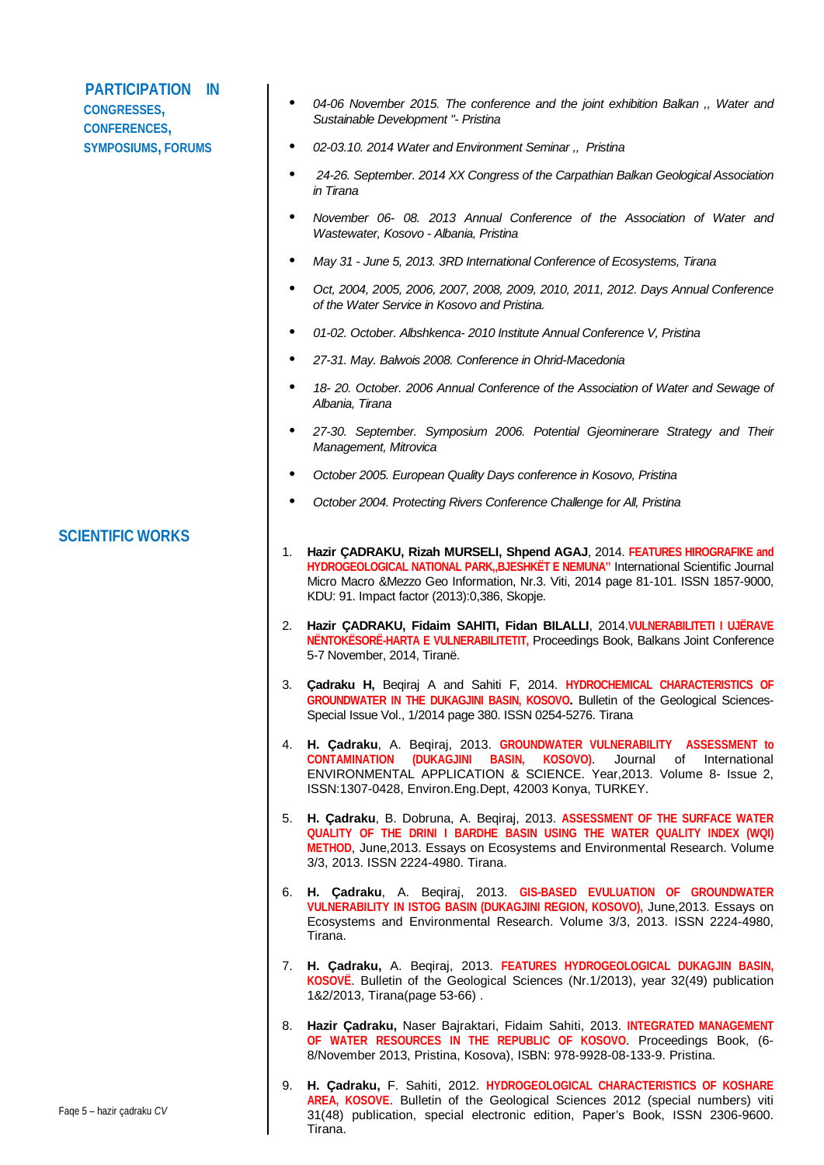| <b>PARTICIPATION</b><br>IN<br><b>CONGRESSES,</b><br><b>CONFERENCES,</b> | $\bullet$<br>04-06 November 2015. The conference and the joint exhibition Balkan ,, Water and<br>Sustainable Development "- Pristina                                                                                                                                                                        |
|-------------------------------------------------------------------------|-------------------------------------------------------------------------------------------------------------------------------------------------------------------------------------------------------------------------------------------------------------------------------------------------------------|
| <b>SYMPOSIUMS, FORUMS</b>                                               | 02-03.10. 2014 Water and Environment Seminar ,, Pristina<br>٠                                                                                                                                                                                                                                               |
|                                                                         | 24-26. September. 2014 XX Congress of the Carpathian Balkan Geological Association<br>in Tirana                                                                                                                                                                                                             |
|                                                                         | November 06- 08. 2013 Annual Conference of the Association of Water and<br>٠<br>Wastewater, Kosovo - Albania, Pristina                                                                                                                                                                                      |
|                                                                         | May 31 - June 5, 2013. 3RD International Conference of Ecosystems, Tirana                                                                                                                                                                                                                                   |
|                                                                         | Oct, 2004, 2005, 2006, 2007, 2008, 2009, 2010, 2011, 2012. Days Annual Conference<br>٠<br>of the Water Service in Kosovo and Pristina.                                                                                                                                                                      |
|                                                                         | 01-02. October. Albshkenca-2010 Institute Annual Conference V, Pristina                                                                                                                                                                                                                                     |
|                                                                         | 27-31. May. Balwois 2008. Conference in Ohrid-Macedonia<br>٠                                                                                                                                                                                                                                                |
|                                                                         | 18-20. October. 2006 Annual Conference of the Association of Water and Sewage of<br>Albania, Tirana                                                                                                                                                                                                         |
|                                                                         | 27-30. September. Symposium 2006. Potential Gjeominerare Strategy and Their<br>Management, Mitrovica                                                                                                                                                                                                        |
|                                                                         | October 2005. European Quality Days conference in Kosovo, Pristina                                                                                                                                                                                                                                          |
|                                                                         | October 2004. Protecting Rivers Conference Challenge for All, Pristina                                                                                                                                                                                                                                      |
| <b>SCIENTIFIC WORKS</b>                                                 | Hazir ÇADRAKU, Rizah MURSELI, Shpend AGAJ, 2014. FEATURES HIROGRAFIKE and<br>1.<br>HYDROGEOLOGICAL NATIONAL PARK, BJESHKËT E NEMUNA" International Scientific Journal<br>Micro Macro & Mezzo Geo Information, Nr.3. Viti, 2014 page 81-101. ISSN 1857-9000,<br>KDU: 91. Impact factor (2013):0,386, Skopje. |
|                                                                         | Hazir ÇADRAKU, Fidaim SAHITI, Fidan BILALLI, 2014.VULNERABILITETI I UJËRAVE<br>2.<br>NENTOKESORE-HARTA E VULNERABILITETIT, Proceedings Book, Balkans Joint Conference<br>5-7 November, 2014, Tiranë.                                                                                                        |
|                                                                         | 3. Çadraku H, Beqiraj A and Sahiti F, 2014. HYDROCHEMICAL CHARACTERISTICS OF<br>GROUNDWATER IN THE DUKAGJINI BASIN, KOSOVO. Bulletin of the Geological Sciences-<br>Special Issue Vol., 1/2014 page 380. ISSN 0254-5276. Tirana                                                                             |
|                                                                         | 4. H. Çadraku, A. Beqiraj, 2013. GROUNDWATER VULNERABILITY ASSESSMENT to<br>(DUKAGJINI BASIN,<br>Journal of<br><b>CONTAMINATION</b><br>KOSOVO).<br>International<br>ENVIRONMENTAL APPLICATION & SCIENCE. Year, 2013. Volume 8- Issue 2,<br>ISSN:1307-0428, Environ.Eng.Dept, 42003 Konya, TURKEY.           |
|                                                                         | H. Cadraku, B. Dobruna, A. Beqiraj, 2013. ASSESSMENT OF THE SURFACE WATER<br>5.<br>QUALITY OF THE DRINI I BARDHE BASIN USING THE WATER QUALITY INDEX (WQI)<br>METHOD, June, 2013. Essays on Ecosystems and Environmental Research. Volume<br>3/3, 2013. ISSN 2224-4980. Tirana.                             |
|                                                                         | 6. H. Çadraku, A. Beqiraj, 2013. GIS-BASED EVULUATION OF GROUNDWATER<br>VULNERABILITY IN ISTOG BASIN (DUKAGJINI REGION, KOSOVO), June, 2013. Essays on<br>Ecosystems and Environmental Research. Volume 3/3, 2013. ISSN 2224-4980,<br>Tirana.                                                               |
|                                                                         | H. Çadraku, A. Beqiraj, 2013. FEATURES HYDROGEOLOGICAL DUKAGJIN BASIN,<br>7.<br>KOSOVE. Bulletin of the Geological Sciences (Nr.1/2013), year 32(49) publication<br>1&2/2013, Tirana(page 53-66).                                                                                                           |
|                                                                         | Hazir Çadraku, Naser Bajraktari, Fidaim Sahiti, 2013. INTEGRATED MANAGEMENT<br>8.<br>OF WATER RESOURCES IN THE REPUBLIC OF KOSOVO. Proceedings Book, (6-<br>8/November 2013, Pristina, Kosova), ISBN: 978-9928-08-133-9. Pristina.                                                                          |
| Faqe 5 - hazir çadraku CV                                               | H. Cadraku, F. Sahiti, 2012. HYDROGEOLOGICAL CHARACTERISTICS OF KOSHARE<br>9.<br>AREA, KOSOVE. Bulletin of the Geological Sciences 2012 (special numbers) viti<br>31(48) publication, special electronic edition, Paper's Book, ISSN 2306-9600.                                                             |

Tirana.

 $\mathsf{l}$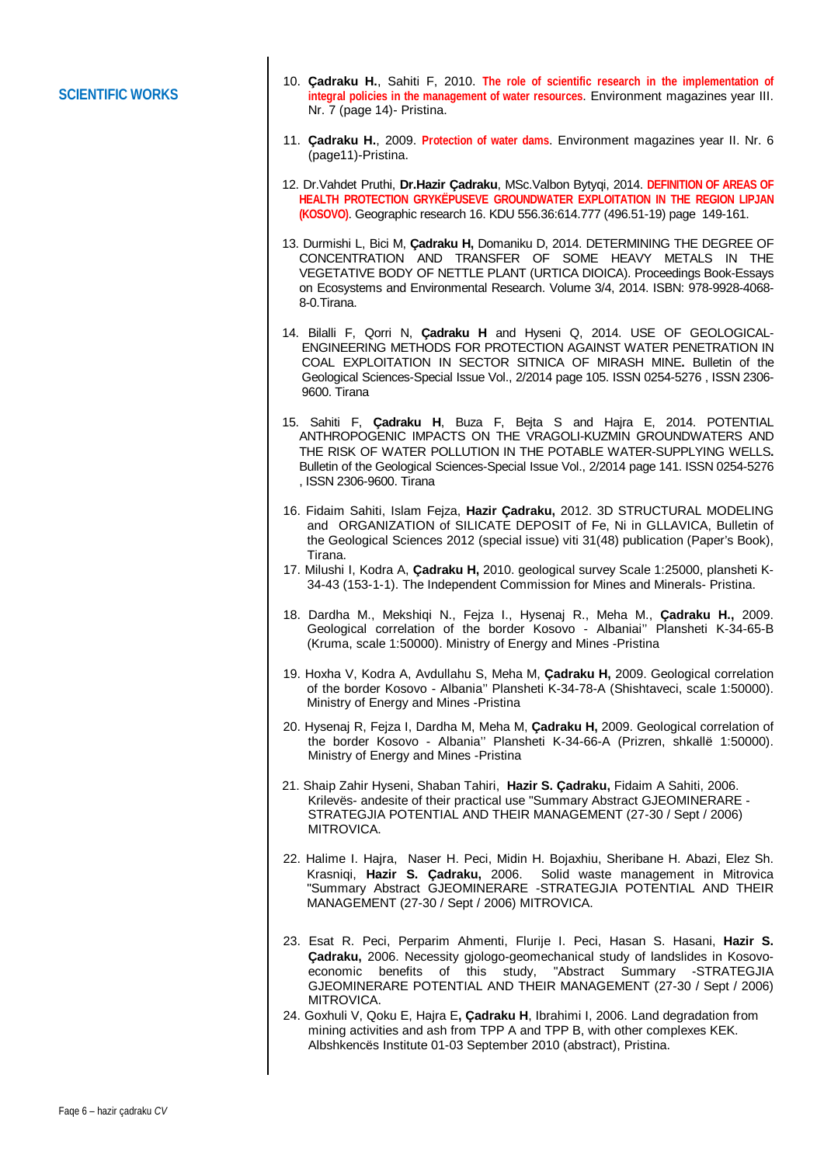## **SCIENTIFIC WORKS**

- 10. **Çadraku H.**, Sahiti F, 2010. **The role of scientific research in the implementation of integral policies in the management of water resources**. Environment magazines year III. Nr. 7 (page 14)- Pristina.
- 11. **Çadraku H.**, 2009. **Protection of water dams**. Environment magazines year II. Nr. 6 (page11)-Pristina.
- 12. Dr.Vahdet Pruthi, **Dr.Hazir Çadraku**, MSc.Valbon Bytyqi, 2014. **DEFINITION OF AREAS OF HEALTH PROTECTION GRYKËPUSEVE GROUNDWATER EXPLOITATION IN THE REGION LIPJAN (KOSOVO)**. Geographic research 16. KDU 556.36:614.777 (496.51-19) page 149-161.
- 13. Durmishi L, Bici M, **Çadraku H,** Domaniku D, 2014. DETERMINING THE DEGREE OF CONCENTRATION AND TRANSFER OF SOME HEAVY METALS IN THE VEGETATIVE BODY OF NETTLE PLANT (URTICA DIOICA). Proceedings Book-Essays on Ecosystems and Environmental Research. Volume 3/4, 2014. ISBN: 978-9928-4068- 8-0.Tirana.
- 14. Bilalli F, Qorri N, **Çadraku H** and Hyseni Q, 2014. USE OF GEOLOGICAL-ENGINEERING METHODS FOR PROTECTION AGAINST WATER PENETRATION IN COAL EXPLOITATION IN SECTOR SITNICA OF MIRASH MINE**.** Bulletin of the Geological Sciences-Special Issue Vol., 2/2014 page 105. ISSN 0254-5276 , ISSN 2306- 9600. Tirana
- 15. Sahiti F, **Çadraku H**, Buza F, Bejta S and Hajra E, 2014. POTENTIAL ANTHROPOGENIC IMPACTS ON THE VRAGOLI-KUZMIN GROUNDWATERS AND THE RISK OF WATER POLLUTION IN THE POTABLE WATER-SUPPLYING WELLS**.**  Bulletin of the Geological Sciences-Special Issue Vol., 2/2014 page 141. ISSN 0254-5276 , ISSN 2306-9600. Tirana
- 16. Fidaim Sahiti, Islam Fejza, **Hazir Çadraku,** 2012. 3D STRUCTURAL MODELING and ORGANIZATION of SILICATE DEPOSIT of Fe, Ni in GLLAVICA, Bulletin of the Geological Sciences 2012 (special issue) viti 31(48) publication (Paper's Book), Tirana.
- 17. Milushi I, Kodra A, **Çadraku H,** 2010. geological survey Scale 1:25000, plansheti K-34-43 (153-1-1). The Independent Commission for Mines and Minerals- Pristina.
- 18. Dardha M., Mekshiqi N., Fejza I., Hysenaj R., Meha M., **Çadraku H.,** 2009. Geological correlation of the border Kosovo - Albaniai'' Plansheti K-34-65-B (Kruma, scale 1:50000). Ministry of Energy and Mines -Pristina
- 19. Hoxha V, Kodra A, Avdullahu S, Meha M, **Çadraku H,** 2009. Geological correlation of the border Kosovo - Albania'' Plansheti K-34-78-A (Shishtaveci, scale 1:50000). Ministry of Energy and Mines -Pristina
- 20. Hysenaj R, Fejza I, Dardha M, Meha M, **Çadraku H,** 2009. Geological correlation of the border Kosovo - Albania'' Plansheti K-34-66-A (Prizren, shkallë 1:50000). Ministry of Energy and Mines -Pristina
- 21. Shaip Zahir Hyseni, Shaban Tahiri, **Hazir S. Çadraku,** Fidaim A Sahiti, 2006. Krilevës- andesite of their practical use "Summary Abstract GJEOMINERARE - STRATEGJIA POTENTIAL AND THEIR MANAGEMENT (27-30 / Sept / 2006) MITROVICA.
- 22. Halime I. Hajra, Naser H. Peci, Midin H. Bojaxhiu, Sheribane H. Abazi, Elez Sh. Krasniqi, **Hazir S. Çadraku,** 2006. Solid waste management in Mitrovica "Summary Abstract GJEOMINERARE -STRATEGJIA POTENTIAL AND THEIR MANAGEMENT (27-30 / Sept / 2006) MITROVICA.
- 23. Esat R. Peci, Perparim Ahmenti, Flurije I. Peci, Hasan S. Hasani, **Hazir S. Çadraku,** 2006. Necessity gjologo-geomechanical study of landslides in Kosovoeconomic benefits of this study, "Abstract Summary -STRATEGJIA GJEOMINERARE POTENTIAL AND THEIR MANAGEMENT (27-30 / Sept / 2006) MITROVICA.
- 24. Goxhuli V, Qoku E, Hajra E**, Çadraku H**, Ibrahimi I, 2006. Land degradation from mining activities and ash from TPP A and TPP B, with other complexes KEK. Albshkencës Institute 01-03 September 2010 (abstract), Pristina.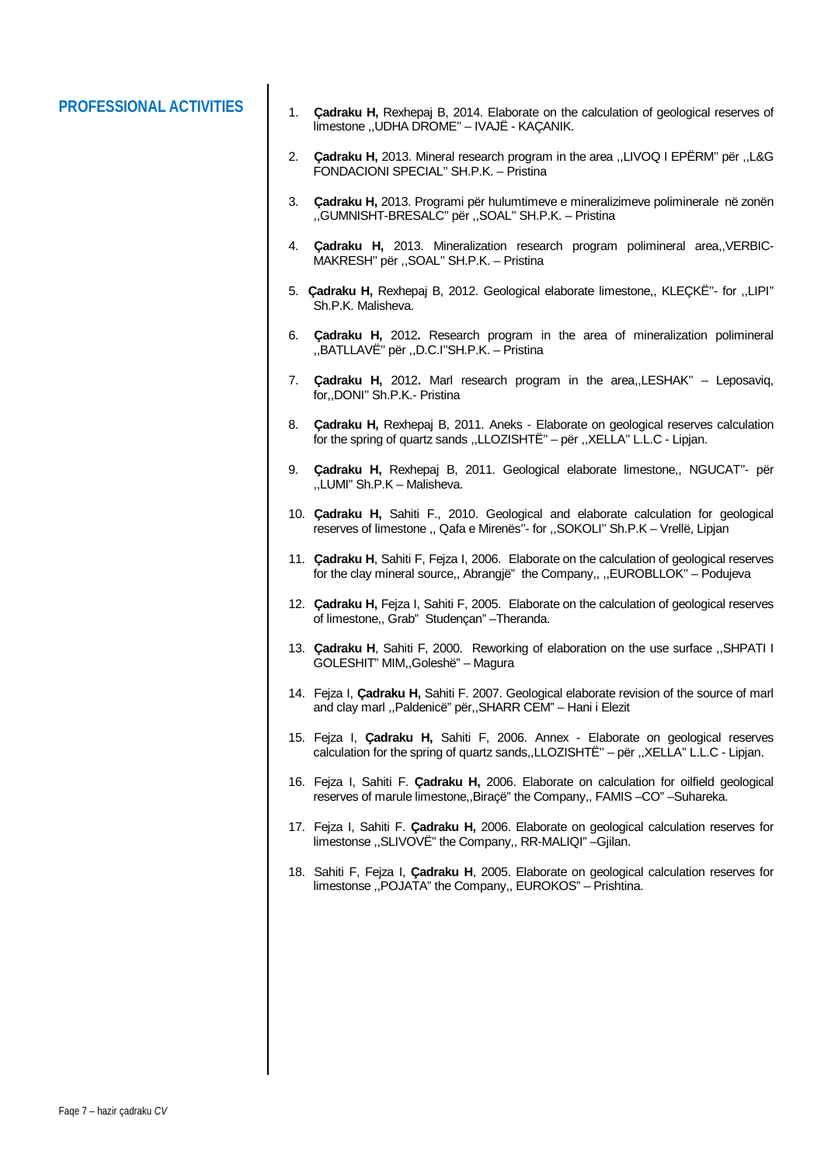- **PROFESSIONAL ACTIVITIES** 1. **Çadraku H,** Rexhepaj B, 2014. Elaborate on the calculation of geological reserves of limestone ,,UDHA DROME'' – IVAJË - KAÇANIK.
	- 2. **Çadraku H,** 2013. Mineral research program in the area ,,LIVOQ I EPËRM'' për ,,L&G FONDACIONI SPECIAL'' SH.P.K. – Pristina
	- 3. **Çadraku H,** 2013. Programi për hulumtimeve e mineralizimeve poliminerale në zonën ,,GUMNISHT-BRESALC'' për ,,SOAL'' SH.P.K. – Pristina
	- 4. **Çadraku H,** 2013. Mineralization research program polimineral area,,VERBIC-MAKRESH'' për ,,SOAL'' SH.P.K. – Pristina
	- 5. **Çadraku H,** Rexhepaj B, 2012. Geological elaborate limestone,, KLEÇKË''- for ,,LIPI'' Sh.P.K. Malisheva.
	- 6. **Çadraku H,** 2012**.** Research program in the area of mineralization polimineral ,,BATLLAVË'' për ,,D.C.I''SH.P.K. – Pristina
	- 7. **Çadraku H,** 2012**.** Marl research program in the area,,LESHAK'' Leposaviq, for,,DONI'' Sh.P.K.- Pristina
	- 8. **Çadraku H,** Rexhepaj B, 2011. Aneks Elaborate on geological reserves calculation for the spring of quartz sands ,,LLOZISHTË'' – për ,,XELLA'' L.L.C - Lipjan.
	- 9. **Çadraku H,** Rexhepaj B, 2011. Geological elaborate limestone,, NGUCAT''- për ,,LUMI" Sh.P.K – Malisheva.
	- 10. **Çadraku H,** Sahiti F., 2010. Geological and elaborate calculation for geological reserves of limestone ,, Qafa e Mirenës''- for ,,SOKOLI'' Sh.P.K – Vrellë, Lipjan
	- 11. **Çadraku H**, Sahiti F, Fejza I, 2006. Elaborate on the calculation of geological reserves for the clay mineral source,, Abrangjë" the Company,, ,,EUROBLLOK'' – Podujeva
	- 12. **Çadraku H,** Fejza I, Sahiti F, 2005. Elaborate on the calculation of geological reserves of limestone,, Grab" Studençan" –Theranda.
	- 13. **Çadraku H**, Sahiti F, 2000. Reworking of elaboration on the use surface ,,SHPATI I GOLESHIT" MIM,,Goleshë" – Magura
	- 14. Fejza I, **Çadraku H,** Sahiti F. 2007. Geological elaborate revision of the source of marl and clay marl ,,Paldenicë" për,,SHARR CEM" – Hani i Elezit
	- 15. Fejza I, **Çadraku H,** Sahiti F, 2006. Annex Elaborate on geological reserves calculation for the spring of quartz sands,,LLOZISHTË'' – për ,,XELLA'' L.L.C - Lipjan.
	- 16. Fejza I, Sahiti F. **Çadraku H,** 2006. Elaborate on calculation for oilfield geological reserves of marule limestone,,Biraçë" the Company,, FAMIS –CO" –Suhareka.
	- 17. Fejza I, Sahiti F. **Çadraku H,** 2006. Elaborate on geological calculation reserves for limestonse ,,SLIVOVË" the Company,, RR-MALIQI" –Gjilan.
	- 18. Sahiti F, Fejza I, **Çadraku H**, 2005. Elaborate on geological calculation reserves for limestonse ,,POJATA" the Company,, EUROKOS" – Prishtina.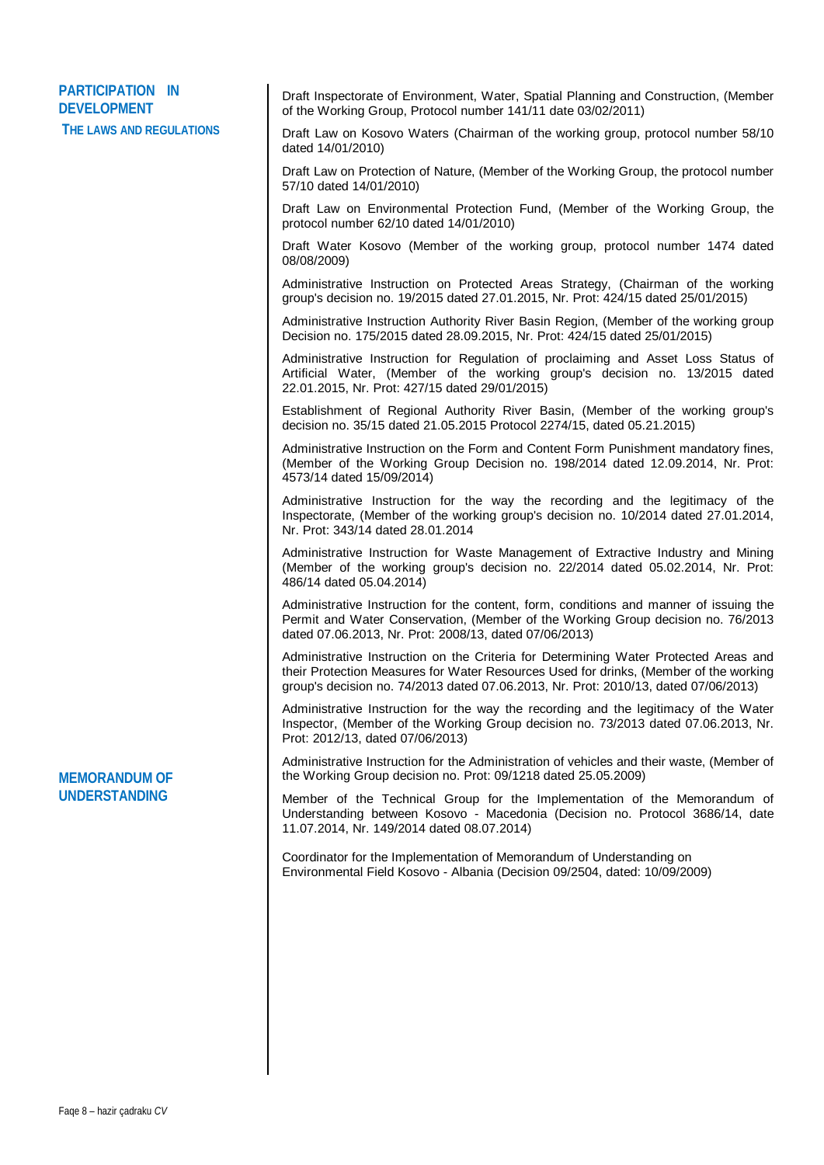## **PARTICIPATION IN DEVELOPMENT THE LAWS AND REGULATIONS**

Draft Inspectorate of Environment, Water, Spatial Planning and Construction, (Member of the Working Group, Protocol number 141/11 date 03/02/2011)

Draft Law on Kosovo Waters (Chairman of the working group, protocol number 58/10 dated 14/01/2010)

Draft Law on Protection of Nature, (Member of the Working Group, the protocol number 57/10 dated 14/01/2010)

Draft Law on Environmental Protection Fund, (Member of the Working Group, the protocol number 62/10 dated 14/01/2010)

Draft Water Kosovo (Member of the working group, protocol number 1474 dated 08/08/2009)

Administrative Instruction on Protected Areas Strategy, (Chairman of the working group's decision no. 19/2015 dated 27.01.2015, Nr. Prot: 424/15 dated 25/01/2015)

Administrative Instruction Authority River Basin Region, (Member of the working group Decision no. 175/2015 dated 28.09.2015, Nr. Prot: 424/15 dated 25/01/2015)

Administrative Instruction for Regulation of proclaiming and Asset Loss Status of Artificial Water, (Member of the working group's decision no. 13/2015 dated 22.01.2015, Nr. Prot: 427/15 dated 29/01/2015)

Establishment of Regional Authority River Basin, (Member of the working group's decision no. 35/15 dated 21.05.2015 Protocol 2274/15, dated 05.21.2015)

Administrative Instruction on the Form and Content Form Punishment mandatory fines, (Member of the Working Group Decision no. 198/2014 dated 12.09.2014, Nr. Prot: 4573/14 dated 15/09/2014)

Administrative Instruction for the way the recording and the legitimacy of the Inspectorate, (Member of the working group's decision no. 10/2014 dated 27.01.2014, Nr. Prot: 343/14 dated 28.01.2014

Administrative Instruction for Waste Management of Extractive Industry and Mining (Member of the working group's decision no. 22/2014 dated 05.02.2014, Nr. Prot: 486/14 dated 05.04.2014)

Administrative Instruction for the content, form, conditions and manner of issuing the Permit and Water Conservation, (Member of the Working Group decision no. 76/2013 dated 07.06.2013, Nr. Prot: 2008/13, dated 07/06/2013)

Administrative Instruction on the Criteria for Determining Water Protected Areas and their Protection Measures for Water Resources Used for drinks, (Member of the working group's decision no. 74/2013 dated 07.06.2013, Nr. Prot: 2010/13, dated 07/06/2013)

Administrative Instruction for the way the recording and the legitimacy of the Water Inspector, (Member of the Working Group decision no. 73/2013 dated 07.06.2013, Nr. Prot: 2012/13, dated 07/06/2013)

Administrative Instruction for the Administration of vehicles and their waste, (Member of the Working Group decision no. Prot: 09/1218 dated 25.05.2009)

Member of the Technical Group for the Implementation of the Memorandum of Understanding between Kosovo - Macedonia (Decision no. Protocol 3686/14, date 11.07.2014, Nr. 149/2014 dated 08.07.2014)

Coordinator for the Implementation of Memorandum of Understanding on Environmental Field Kosovo - Albania (Decision 09/2504, dated: 10/09/2009)

## **MEMORANDUM OF UNDERSTANDING**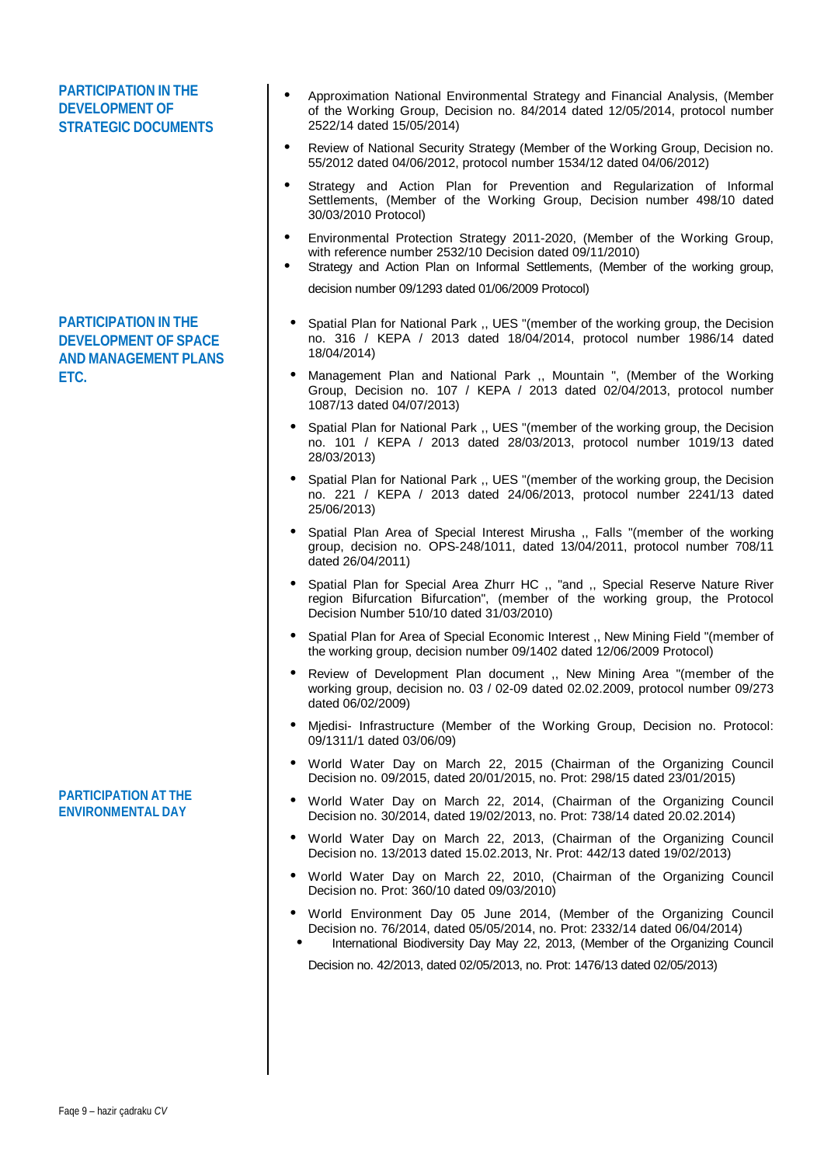### **PARTICIPATION IN THE DEVELOPMENT OF STRATEGIC DOCUMENTS PARTICIPATION IN THE DEVELOPMENT OF SPACE AND MANAGEMENT PLANS ETC. PARTICIPATION AT THE ENVIRONMENTAL DAY** Approximation National Environmental Strategy and Financial Analysis, (Member of the Working Group, Decision no. 84/2014 dated 12/05/2014, protocol number 2522/14 dated 15/05/2014) Review of National Security Strategy (Member of the Working Group, Decision no. 55/2012 dated 04/06/2012, protocol number 1534/12 dated 04/06/2012) Strategy and Action Plan for Prevention and Regularization of Informal Settlements, (Member of the Working Group, Decision number 498/10 dated 30/03/2010 Protocol) Environmental Protection Strategy 2011-2020, (Member of the Working Group, with reference number 2532/10 Decision dated 09/11/2010) Strategy and Action Plan on Informal Settlements, (Member of the working group, decision number 09/1293 dated 01/06/2009 Protocol) Spatial Plan for National Park ,, UES "(member of the working group, the Decision no. 316 / KEPA / 2013 dated 18/04/2014, protocol number 1986/14 dated 18/04/2014) Management Plan and National Park ,, Mountain ", (Member of the Working Group, Decision no. 107 / KEPA / 2013 dated 02/04/2013, protocol number 1087/13 dated 04/07/2013) Spatial Plan for National Park ,, UES "(member of the working group, the Decision no. 101 / KEPA / 2013 dated 28/03/2013, protocol number 1019/13 dated 28/03/2013) • Spatial Plan for National Park ., UES "(member of the working group, the Decision no. 221 / KEPA / 2013 dated 24/06/2013, protocol number 2241/13 dated 25/06/2013) • Spatial Plan Area of Special Interest Mirusha ., Falls "(member of the working group, decision no. OPS-248/1011, dated 13/04/2011, protocol number 708/11 dated 26/04/2011) Spatial Plan for Special Area Zhurr HC ,, "and ,, Special Reserve Nature River region Bifurcation Bifurcation", (member of the working group, the Protocol Decision Number 510/10 dated 31/03/2010) Spatial Plan for Area of Special Economic Interest ,, New Mining Field "(member of the working group, decision number 09/1402 dated 12/06/2009 Protocol) Review of Development Plan document ,, New Mining Area "(member of the working group, decision no. 03 / 02-09 dated 02.02.2009, protocol number 09/273 dated 06/02/2009) Mjedisi- Infrastructure (Member of the Working Group, Decision no. Protocol: 09/1311/1 dated 03/06/09) World Water Day on March 22, 2015 (Chairman of the Organizing Council Decision no. 09/2015, dated 20/01/2015, no. Prot: 298/15 dated 23/01/2015) World Water Day on March 22, 2014, (Chairman of the Organizing Council Decision no. 30/2014, dated 19/02/2013, no. Prot: 738/14 dated 20.02.2014) World Water Day on March 22, 2013, (Chairman of the Organizing Council Decision no. 13/2013 dated 15.02.2013, Nr. Prot: 442/13 dated 19/02/2013) World Water Day on March 22, 2010, (Chairman of the Organizing Council Decision no. Prot: 360/10 dated 09/03/2010) World Environment Day 05 June 2014, (Member of the Organizing Council Decision no. 76/2014, dated 05/05/2014, no. Prot: 2332/14 dated 06/04/2014) International Biodiversity Day May 22, 2013, (Member of the Organizing Council

Decision no. 42/2013, dated 02/05/2013, no. Prot: 1476/13 dated 02/05/2013)